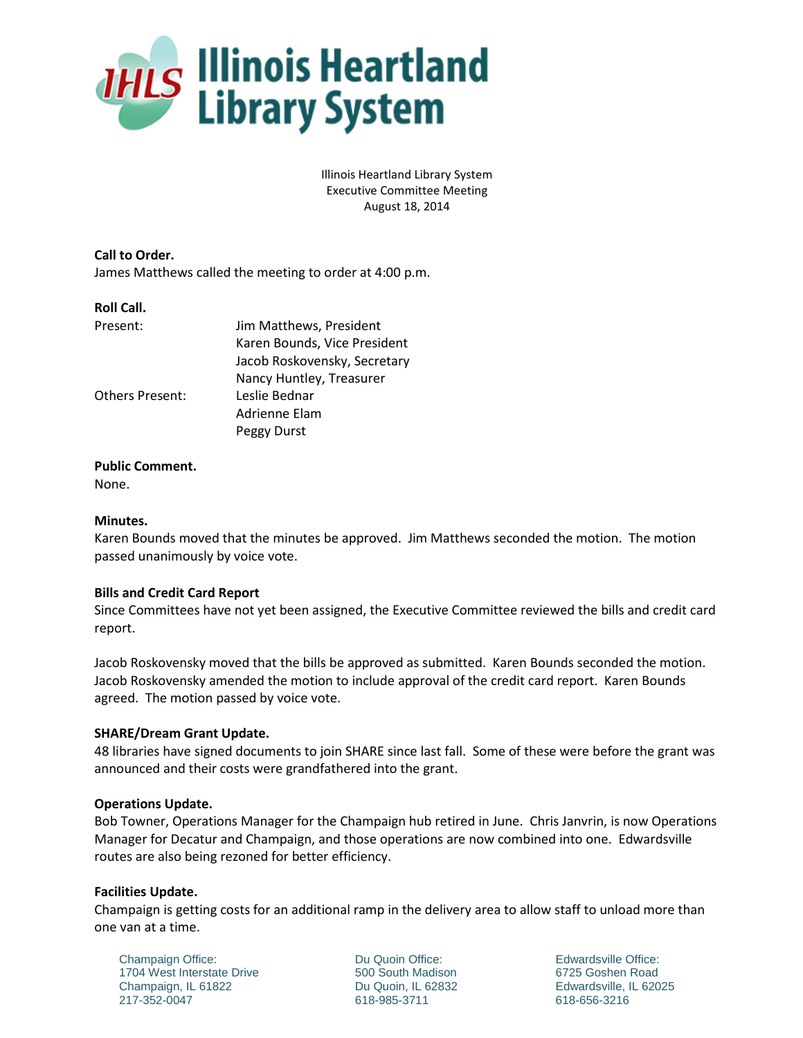

Illinois Heartland Library System Executive Committee Meeting August 18, 2014

**Call to Order.** James Matthews called the meeting to order at 4:00 p.m.

#### **Roll Call.**

| Present:               | Jim Matthews, President      |
|------------------------|------------------------------|
|                        | Karen Bounds, Vice President |
|                        | Jacob Roskovensky, Secretary |
|                        | Nancy Huntley, Treasurer     |
| <b>Others Present:</b> | Leslie Bednar                |
|                        | Adrienne Elam                |
|                        | Peggy Durst                  |

# **Public Comment.**

None.

### **Minutes.**

Karen Bounds moved that the minutes be approved. Jim Matthews seconded the motion. The motion passed unanimously by voice vote.

# **Bills and Credit Card Report**

Since Committees have not yet been assigned, the Executive Committee reviewed the bills and credit card report.

Jacob Roskovensky moved that the bills be approved as submitted. Karen Bounds seconded the motion. Jacob Roskovensky amended the motion to include approval of the credit card report. Karen Bounds agreed. The motion passed by voice vote.

#### **SHARE/Dream Grant Update.**

48 libraries have signed documents to join SHARE since last fall. Some of these were before the grant was announced and their costs were grandfathered into the grant.

#### **Operations Update.**

Bob Towner, Operations Manager for the Champaign hub retired in June. Chris Janvrin, is now Operations Manager for Decatur and Champaign, and those operations are now combined into one. Edwardsville routes are also being rezoned for better efficiency.

#### **Facilities Update.**

Champaign is getting costs for an additional ramp in the delivery area to allow staff to unload more than one van at a time.

Champaign Office: 1704 West Interstate Drive Champaign, IL 61822 217-352-0047

Du Quoin Office: 500 South Madison Du Quoin, IL 62832 618-985-3711

Edwardsville Office: 6725 Goshen Road Edwardsville, IL 62025 618-656-3216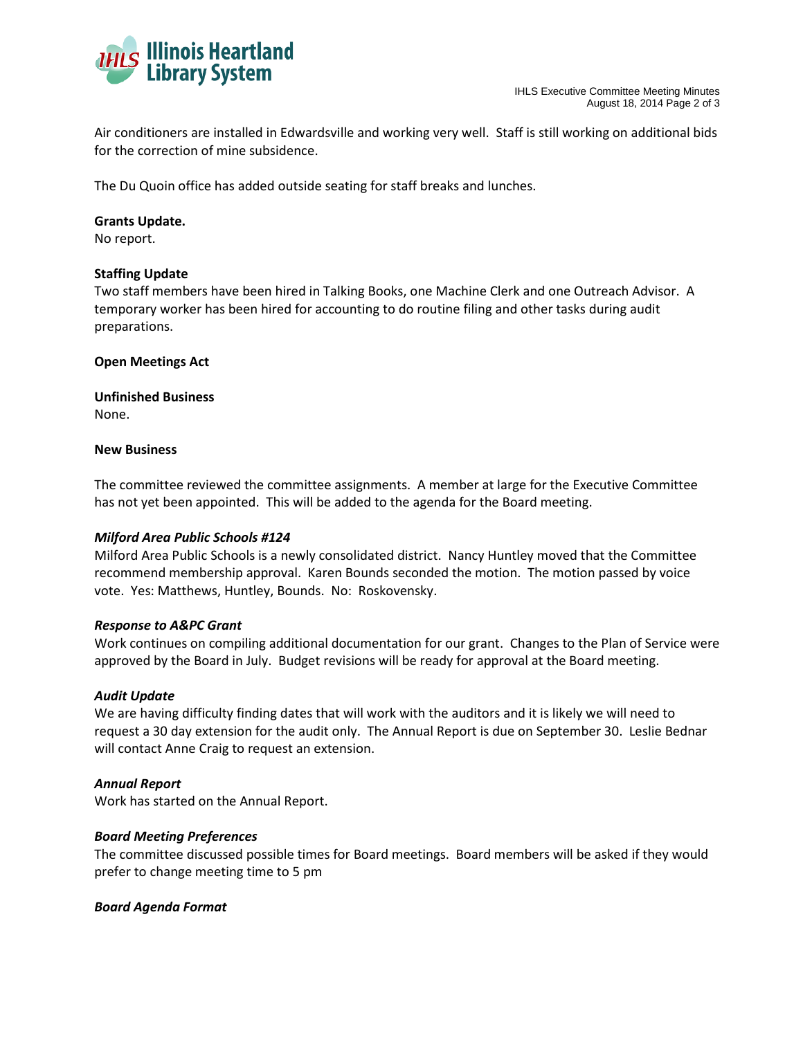

Air conditioners are installed in Edwardsville and working very well. Staff is still working on additional bids for the correction of mine subsidence.

The Du Quoin office has added outside seating for staff breaks and lunches.

### **Grants Update.**

No report.

# **Staffing Update**

Two staff members have been hired in Talking Books, one Machine Clerk and one Outreach Advisor. A temporary worker has been hired for accounting to do routine filing and other tasks during audit preparations.

# **Open Meetings Act**

**Unfinished Business** None.

#### **New Business**

The committee reviewed the committee assignments. A member at large for the Executive Committee has not yet been appointed. This will be added to the agenda for the Board meeting.

#### *Milford Area Public Schools #124*

Milford Area Public Schools is a newly consolidated district. Nancy Huntley moved that the Committee recommend membership approval. Karen Bounds seconded the motion. The motion passed by voice vote. Yes: Matthews, Huntley, Bounds. No: Roskovensky.

#### *Response to A&PC Grant*

Work continues on compiling additional documentation for our grant. Changes to the Plan of Service were approved by the Board in July. Budget revisions will be ready for approval at the Board meeting.

#### *Audit Update*

We are having difficulty finding dates that will work with the auditors and it is likely we will need to request a 30 day extension for the audit only. The Annual Report is due on September 30. Leslie Bednar will contact Anne Craig to request an extension.

#### *Annual Report*

Work has started on the Annual Report.

#### *Board Meeting Preferences*

The committee discussed possible times for Board meetings. Board members will be asked if they would prefer to change meeting time to 5 pm

#### *Board Agenda Format*